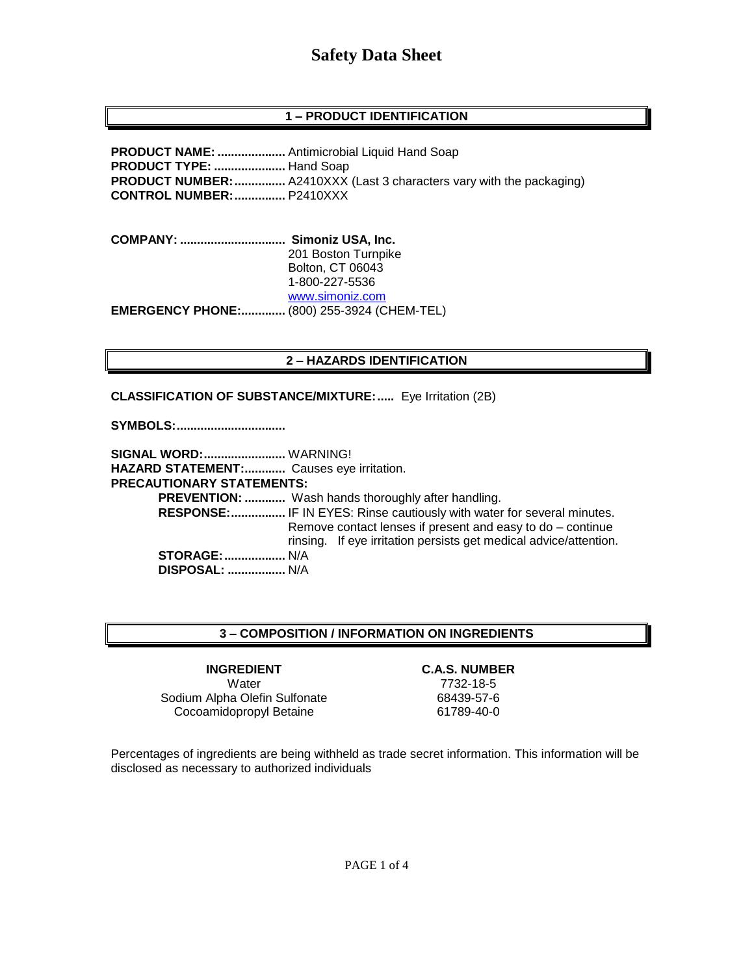## **1 – PRODUCT IDENTIFICATION**

**PRODUCT NAME: ....................** Antimicrobial Liquid Hand Soap **PRODUCT TYPE: .....................** Hand Soap **PRODUCT NUMBER:...............** A2410XXX (Last 3 characters vary with the packaging) **CONTROL NUMBER:...............** P2410XXX

**COMPANY: ............................... Simoniz USA, Inc.** 201 Boston Turnpike Bolton, CT 06043 1-800-227-5536 [www.simoniz.com](http://www.simoniz.com/) **EMERGENCY PHONE:.............** (800) 255-3924 (CHEM-TEL)

#### **2 – HAZARDS IDENTIFICATION**

**CLASSIFICATION OF SUBSTANCE/MIXTURE:.....** Eye Irritation (2B)

**SYMBOLS:................................**

**SIGNAL WORD:........................** WARNING! **HAZARD STATEMENT:............** Causes eye irritation. **PRECAUTIONARY STATEMENTS: PREVENTION: ............** Wash hands thoroughly after handling.  **RESPONSE:................** IF IN EYES: Rinse cautiously with water for several minutes. Remove contact lenses if present and easy to do – continue rinsing. If eye irritation persists get medical advice/attention. **STORAGE:..................** N/A  **DISPOSAL: .................** N/A

#### **3 – COMPOSITION / INFORMATION ON INGREDIENTS**

**INGREDIENT C.A.S. NUMBER** Water 7732-18-5 Sodium Alpha Olefin Sulfonate 68439-57-6 Cocoamidopropyl Betaine 61789-40-0

Percentages of ingredients are being withheld as trade secret information. This information will be disclosed as necessary to authorized individuals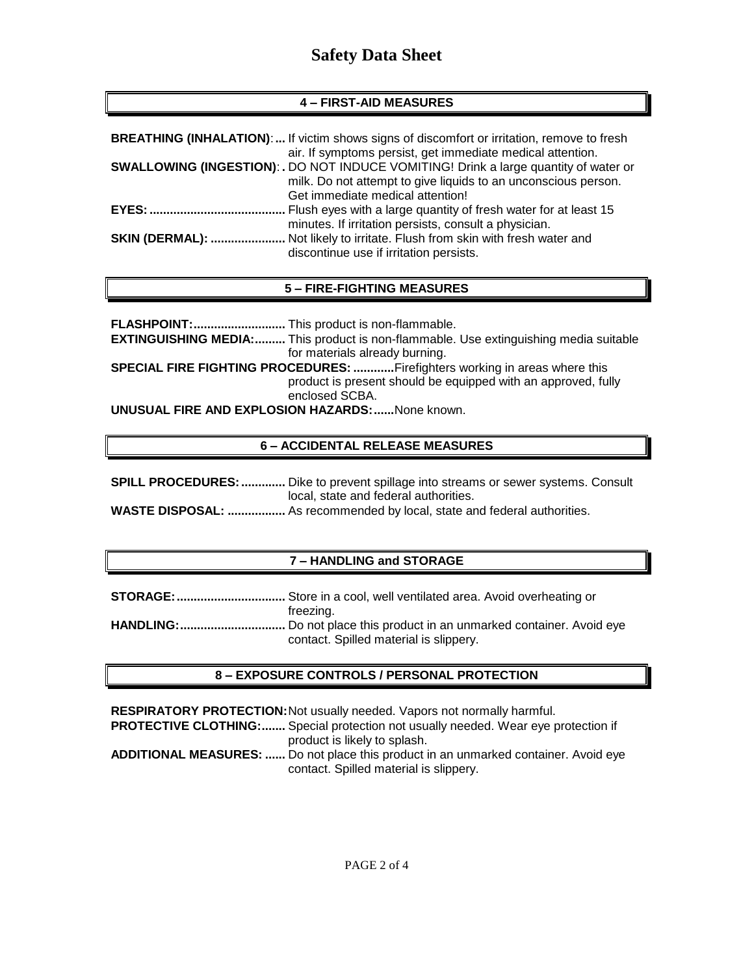## **4 – FIRST-AID MEASURES**

|              | <b>BREATHING (INHALATION):</b> If victim shows signs of discomfort or irritation, remove to fresh |
|--------------|---------------------------------------------------------------------------------------------------|
|              | air. If symptoms persist, get immediate medical attention.                                        |
|              | <b>SWALLOWING (INGESTION): .</b> DO NOT INDUCE VOMITING! Drink a large quantity of water or       |
|              | milk. Do not attempt to give liquids to an unconscious person.                                    |
|              | Get immediate medical attention!                                                                  |
| <b>EYES:</b> | Flush eyes with a large quantity of fresh water for at least 15                                   |
|              | minutes. If irritation persists, consult a physician.                                             |
|              | SKIN (DERMAL):  Not likely to irritate. Flush from skin with fresh water and                      |
|              | discontinue use if irritation persists.                                                           |

## **5 – FIRE-FIGHTING MEASURES**

|                                                         | <b>EXTINGUISHING MEDIA:</b> This product is non-flammable. Use extinguishing media suitable |
|---------------------------------------------------------|---------------------------------------------------------------------------------------------|
|                                                         | for materials already burning.                                                              |
|                                                         | SPECIAL FIRE FIGHTING PROCEDURES: Firefighters working in areas where this                  |
|                                                         | product is present should be equipped with an approved, fully                               |
|                                                         | enclosed SCBA.                                                                              |
| <b>UNUSUAL FIRE AND EXPLOSION HAZARDS:  None known.</b> |                                                                                             |

#### **6 – ACCIDENTAL RELEASE MEASURES**

| <b>SPILL PROCEDURES: </b> Dike to prevent spillage into streams or sewer systems. Consult |
|-------------------------------------------------------------------------------------------|
| local, state and federal authorities.                                                     |
| <b>WASTE DISPOSAL:  As recommended by local, state and federal authorities.</b>           |

#### **7 – HANDLING and STORAGE**

| freezina.                              |
|----------------------------------------|
|                                        |
| contact. Spilled material is slippery. |

#### **8 – EXPOSURE CONTROLS / PERSONAL PROTECTION**

**RESPIRATORY PROTECTION:**Not usually needed. Vapors not normally harmful.

**PROTECTIVE CLOTHING:.......** Special protection not usually needed. Wear eye protection if product is likely to splash.

**ADDITIONAL MEASURES: ......** Do not place this product in an unmarked container. Avoid eye contact. Spilled material is slippery.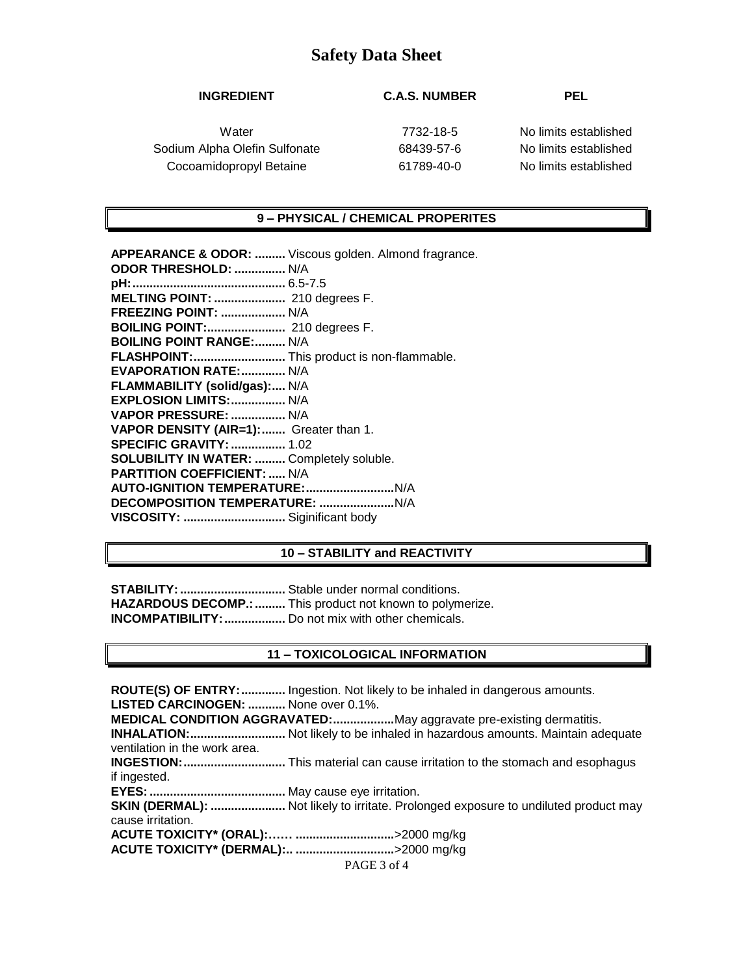### **INGREDIENT C.A.S. NUMBER PEL**

Sodium Alpha Olefin Sulfonate 68439-57-6 No limits established Cocoamidopropyl Betaine 61789-40-0 No limits established

Water 7732-18-5 No limits established

#### **9 – PHYSICAL / CHEMICAL PROPERITES**

**APPEARANCE & ODOR: .........** Viscous golden. Almond fragrance. **ODOR THRESHOLD: ...............** N/A **pH:.............................................** 6.5-7.5 **MELTING POINT: .....................** 210 degrees F. **FREEZING POINT: ...................** N/A **BOILING POINT:.......................** 210 degrees F. **BOILING POINT RANGE:.........** N/A **FLASHPOINT:...........................** This product is non-flammable. **EVAPORATION RATE:.............** N/A **FLAMMABILITY (solid/gas):....** N/A **EXPLOSION LIMITS:................** N/A **VAPOR PRESSURE: ................** N/A **VAPOR DENSITY (AIR=1):.......** Greater than 1. **SPECIFIC GRAVITY:................** 1.02 **SOLUBILITY IN WATER: .........** Completely soluble. **PARTITION COEFFICIENT: .....** N/A **AUTO-IGNITION TEMPERATURE:..........................**N/A **DECOMPOSITION TEMPERATURE: ......................**N/A **VISCOSITY: ..............................** Siginificant body

#### **10 – STABILITY and REACTIVITY**

**STABILITY:...............................** Stable under normal conditions. **HAZARDOUS DECOMP.:.........** This product not known to polymerize. **INCOMPATIBILITY:..................** Do not mix with other chemicals.

#### **11 – TOXICOLOGICAL INFORMATION**

**ROUTE(S) OF ENTRY:.............** Ingestion. Not likely to be inhaled in dangerous amounts. **LISTED CARCINOGEN: ...........** None over 0.1%. **MEDICAL CONDITION AGGRAVATED:..................**May aggravate pre-existing dermatitis. **INHALATION:............................** Not likely to be inhaled in hazardous amounts. Maintain adequate ventilation in the work area. **INGESTION:..............................** This material can cause irritation to the stomach and esophagus if ingested. **EYES:........................................** May cause eye irritation. **SKIN (DERMAL): ......................** Not likely to irritate. Prolonged exposure to undiluted product may cause irritation. **ACUTE TOXICITY\* (ORAL):…… .............................**>2000 mg/kg **ACUTE TOXICITY\* (DERMAL):.. .............................**>2000 mg/kg

PAGE 3 of 4